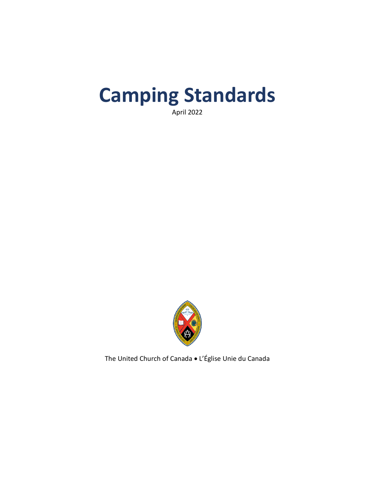# **Camping Standards**

April 2022



The United Church of Canada • L'Église Unie du Canada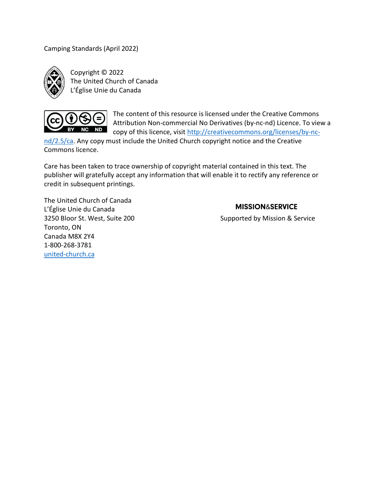Camping Standards (April 2022)



Copyright © 2022 The United Church of Canada L'Église Unie du Canada



The content of this resource is licensed under the Creative Commons Attribution Non-commercial No Derivatives (by-nc-nd) Licence. To view a copy of this licence, visit [http://creativecommons.org/licenses/by-nc-](http://creativecommons.org/licenses/by-nc-nd/2.5/ca)

[nd/2.5/ca.](http://creativecommons.org/licenses/by-nc-nd/2.5/ca) Any copy must include the United Church copyright notice and the Creative Commons licence.

Care has been taken to trace ownership of copyright material contained in this text. The publisher will gratefully accept any information that will enable it to rectify any reference or credit in subsequent printings.

The United Church of Canada L'Église Unie du Canada Toronto, ON Canada M8X 2Y4 1-800-268-3781 [united-church.ca](https://united-church.ca/)

#### **MISSION&SERVICE**

3250 Bloor St. West, Suite 200 Supported by Mission & Service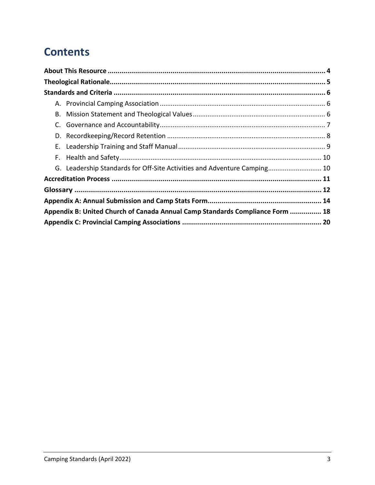# **Contents**

| C. |                                                                               |  |  |
|----|-------------------------------------------------------------------------------|--|--|
|    |                                                                               |  |  |
|    |                                                                               |  |  |
|    |                                                                               |  |  |
|    | G. Leadership Standards for Off-Site Activities and Adventure Camping 10      |  |  |
|    |                                                                               |  |  |
|    |                                                                               |  |  |
|    |                                                                               |  |  |
|    | Appendix B: United Church of Canada Annual Camp Standards Compliance Form  18 |  |  |
|    |                                                                               |  |  |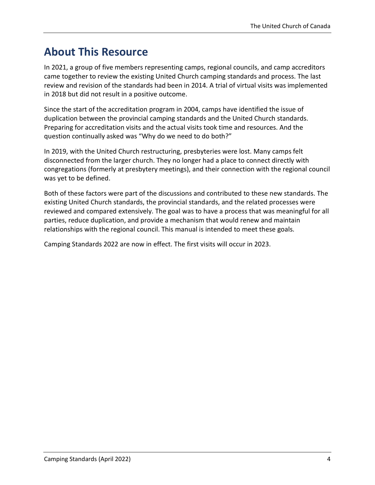# <span id="page-3-0"></span>**About This Resource**

In 2021, a group of five members representing camps, regional councils, and camp accreditors came together to review the existing United Church camping standards and process. The last review and revision of the standards had been in 2014. A trial of virtual visits was implemented in 2018 but did not result in a positive outcome.

Since the start of the accreditation program in 2004, camps have identified the issue of duplication between the provincial camping standards and the United Church standards. Preparing for accreditation visits and the actual visits took time and resources. And the question continually asked was "Why do we need to do both?"

In 2019, with the United Church restructuring, presbyteries were lost. Many camps felt disconnected from the larger church. They no longer had a place to connect directly with congregations (formerly at presbytery meetings), and their connection with the regional council was yet to be defined.

Both of these factors were part of the discussions and contributed to these new standards. The existing United Church standards, the provincial standards, and the related processes were reviewed and compared extensively. The goal was to have a process that was meaningful for all parties, reduce duplication, and provide a mechanism that would renew and maintain relationships with the regional council. This manual is intended to meet these goals.

Camping Standards 2022 are now in effect. The first visits will occur in 2023.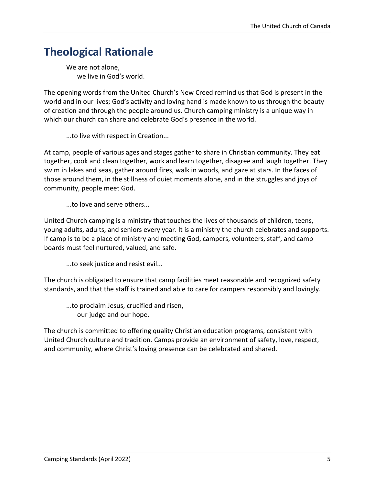# <span id="page-4-0"></span>**Theological Rationale**

We are not alone, we live in God's world.

The opening words from the United Church's New Creed remind us that God is present in the world and in our lives; God's activity and loving hand is made known to us through the beauty of creation and through the people around us. Church camping ministry is a unique way in which our church can share and celebrate God's presence in the world.

...to live with respect in Creation...

At camp, people of various ages and stages gather to share in Christian community. They eat together, cook and clean together, work and learn together, disagree and laugh together. They swim in lakes and seas, gather around fires, walk in woods, and gaze at stars. In the faces of those around them, in the stillness of quiet moments alone, and in the struggles and joys of community, people meet God.

...to love and serve others...

United Church camping is a ministry that touches the lives of thousands of children, teens, young adults, adults, and seniors every year. It is a ministry the church celebrates and supports. If camp is to be a place of ministry and meeting God, campers, volunteers, staff, and camp boards must feel nurtured, valued, and safe.

...to seek justice and resist evil...

The church is obligated to ensure that camp facilities meet reasonable and recognized safety standards, and that the staff is trained and able to care for campers responsibly and lovingly.

...to proclaim Jesus, crucified and risen, our judge and our hope.

The church is committed to offering quality Christian education programs, consistent with United Church culture and tradition. Camps provide an environment of safety, love, respect, and community, where Christ's loving presence can be celebrated and shared.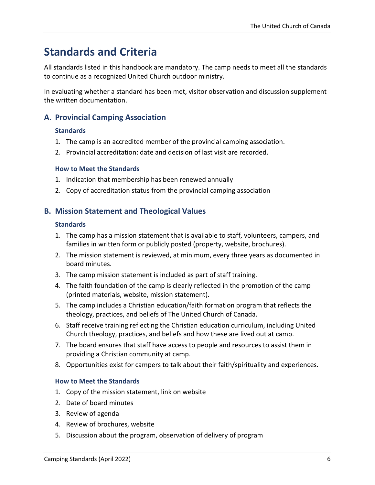# <span id="page-5-0"></span>**Standards and Criteria**

All standards listed in this handbook are mandatory. The camp needs to meet all the standards to continue as a recognized United Church outdoor ministry.

In evaluating whether a standard has been met, visitor observation and discussion supplement the written documentation.

### <span id="page-5-1"></span>**A. Provincial Camping Association**

#### **Standards**

- 1. The camp is an accredited member of the provincial camping association.
- 2. Provincial accreditation: date and decision of last visit are recorded.

#### **How to Meet the Standards**

- 1. Indication that membership has been renewed annually
- 2. Copy of accreditation status from the provincial camping association

### <span id="page-5-2"></span>**B. Mission Statement and Theological Values**

#### **Standards**

- 1. The camp has a mission statement that is available to staff, volunteers, campers, and families in written form or publicly posted (property, website, brochures).
- 2. The mission statement is reviewed, at minimum, every three years as documented in board minutes.
- 3. The camp mission statement is included as part of staff training.
- 4. The faith foundation of the camp is clearly reflected in the promotion of the camp (printed materials, website, mission statement).
- 5. The camp includes a Christian education/faith formation program that reflects the theology, practices, and beliefs of The United Church of Canada.
- 6. Staff receive training reflecting the Christian education curriculum, including United Church theology, practices, and beliefs and how these are lived out at camp.
- 7. The board ensures that staff have access to people and resources to assist them in providing a Christian community at camp.
- 8. Opportunities exist for campers to talk about their faith/spirituality and experiences.

#### **How to Meet the Standards**

- 1. Copy of the mission statement, link on website
- 2. Date of board minutes
- 3. Review of agenda
- 4. Review of brochures, website
- 5. Discussion about the program, observation of delivery of program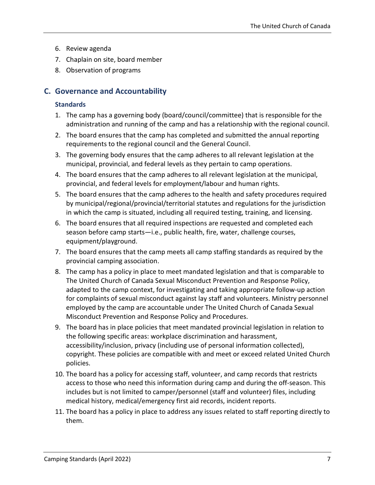- 6. Review agenda
- 7. Chaplain on site, board member
- 8. Observation of programs

### <span id="page-6-0"></span>**C. Governance and Accountability**

#### **Standards**

- 1. The camp has a governing body (board/council/committee) that is responsible for the administration and running of the camp and has a relationship with the regional council.
- 2. The board ensures that the camp has completed and submitted the annual reporting requirements to the regional council and the General Council.
- 3. The governing body ensures that the camp adheres to all relevant legislation at the municipal, provincial, and federal levels as they pertain to camp operations.
- 4. The board ensures that the camp adheres to all relevant legislation at the municipal, provincial, and federal levels for employment/labour and human rights.
- 5. The board ensures that the camp adheres to the health and safety procedures required by municipal/regional/provincial/territorial statutes and regulations for the jurisdiction in which the camp is situated, including all required testing, training, and licensing.
- 6. The board ensures that all required inspections are requested and completed each season before camp starts-i.e., public health, fire, water, challenge courses, equipment/playground.
- 7. The board ensures that the camp meets all camp staffing standards as required by the provincial camping association.
- 8. The camp has a policy in place to meet mandated legislation and that is comparable to The United Church of Canada Sexual Misconduct Prevention and Response Policy, adapted to the camp context, for investigating and taking appropriate follow-up action for complaints of sexual misconduct against lay staff and volunteers. Ministry personnel employed by the camp are accountable under The United Church of Canada Sexual Misconduct Prevention and Response Policy and Procedures.
- 9. The board has in place policies that meet mandated provincial legislation in relation to the following specific areas: workplace discrimination and harassment, accessibility/inclusion, privacy (including use of personal information collected), copyright. These policies are compatible with and meet or exceed related United Church policies.
- 10. The board has a policy for accessing staff, volunteer, and camp records that restricts access to those who need this information during camp and during the off-season. This includes but is not limited to camper/personnel (staff and volunteer) files, including medical history, medical/emergency first aid records, incident reports.
- 11. The board has a policy in place to address any issues related to staff reporting directly to them.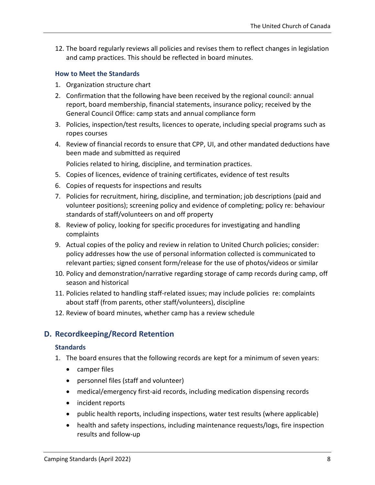12. The board regularly reviews all policies and revises them to reflect changes in legislation and camp practices. This should be reflected in board minutes.

#### **How to Meet the Standards**

- 1. Organization structure chart
- 2. Confirmation that the following have been received by the regional council: annual report, board membership, financial statements, insurance policy; received by the General Council Office: camp stats and annual compliance form
- 3. Policies, inspection/test results, licences to operate, including special programs such as ropes courses
- 4. Review of financial records to ensure that CPP, UI, and other mandated deductions have been made and submitted as required

Policies related to hiring, discipline, and termination practices.

- 5. Copies of licences, evidence of training certificates, evidence of test results
- 6. Copies of requests for inspections and results
- 7. Policies for recruitment, hiring, discipline, and termination; job descriptions (paid and volunteer positions); screening policy and evidence of completing; policy re: behaviour standards of staff/volunteers on and off property
- 8. Review of policy, looking for specific procedures for investigating and handling complaints
- 9. Actual copies of the policy and review in relation to United Church policies; consider: policy addresses how the use of personal information collected is communicated to relevant parties; signed consent form/release for the use of photos/videos or similar
- 10. Policy and demonstration/narrative regarding storage of camp records during camp, off season and historical
- 11. Policies related to handling staff-related issues; may include policies re: complaints about staff (from parents, other staff/volunteers), discipline
- 12. Review of board minutes, whether camp has a review schedule

### <span id="page-7-0"></span>**D. Recordkeeping/Record Retention**

#### **Standards**

- 1. The board ensures that the following records are kept for a minimum of seven years:
	- camper files
	- personnel files (staff and volunteer)
	- medical/emergency first-aid records, including medication dispensing records
	- incident reports
	- public health reports, including inspections, water test results (where applicable)
	- health and safety inspections, including maintenance requests/logs, fire inspection results and follow-up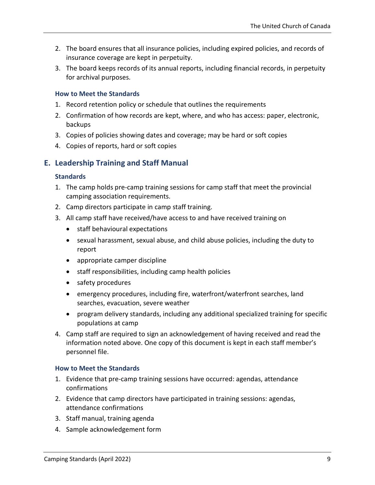- 2. The board ensures that all insurance policies, including expired policies, and records of insurance coverage are kept in perpetuity.
- 3. The board keeps records of its annual reports, including financial records, in perpetuity for archival purposes.

#### **How to Meet the Standards**

- 1. Record retention policy or schedule that outlines the requirements
- 2. Confirmation of how records are kept, where, and who has access: paper, electronic, backups
- 3. Copies of policies showing dates and coverage; may be hard or soft copies
- 4. Copies of reports, hard or soft copies

### <span id="page-8-0"></span>**E. Leadership Training and Staff Manual**

#### **Standards**

- 1. The camp holds pre-camp training sessions for camp staff that meet the provincial camping association requirements.
- 2. Camp directors participate in camp staff training.
- 3. All camp staff have received/have access to and have received training on
	- staff behavioural expectations
	- sexual harassment, sexual abuse, and child abuse policies, including the duty to report
	- appropriate camper discipline
	- staff responsibilities, including camp health policies
	- safety procedures
	- emergency procedures, including fire, waterfront/waterfront searches, land searches, evacuation, severe weather
	- program delivery standards, including any additional specialized training for specific populations at camp
- 4. Camp staff are required to sign an acknowledgement of having received and read the information noted above. One copy of this document is kept in each staff member's personnel file.

#### **How to Meet the Standards**

- 1. Evidence that pre-camp training sessions have occurred: agendas, attendance confirmations
- 2. Evidence that camp directors have participated in training sessions: agendas, attendance confirmations
- 3. Staff manual, training agenda
- 4. Sample acknowledgement form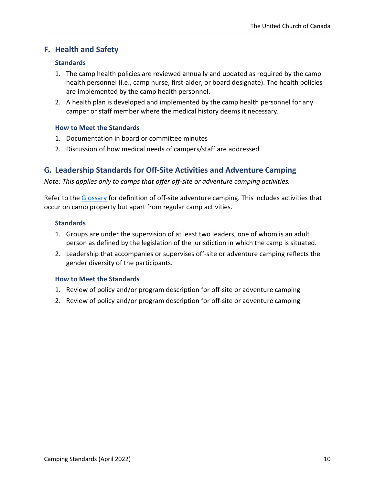### <span id="page-9-0"></span>**F. Health and Safety**

#### **Standards**

- 1. The camp health policies are reviewed annually and updated as required by the camp health personnel (i.e., camp nurse, first-aider, or board designate). The health policies are implemented by the camp health personnel.
- 2. A health plan is developed and implemented by the camp health personnel for any camper or staff member where the medical history deems it necessary.

#### **How to Meet the Standards**

- 1. Documentation in board or committee minutes
- 2. Discussion of how medical needs of campers/staff are addressed

### <span id="page-9-1"></span>**G. Leadership Standards for Off-Site Activities and Adventure Camping**

*Note: This applies only to camps that offer off-site or adventure camping activities.*

Refer to the [Glossary](#page-11-0) for definition of off-site adventure camping. This includes activities that occur on camp property but apart from regular camp activities.

#### **Standards**

- 1. Groups are under the supervision of at least two leaders, one of whom is an adult person as defined by the legislation of the jurisdiction in which the camp is situated.
- 2. Leadership that accompanies or supervises off-site or adventure camping reflects the gender diversity of the participants.

#### **How to Meet the Standards**

- 1. Review of policy and/or program description for off-site or adventure camping
- 2. Review of policy and/or program description for off-site or adventure camping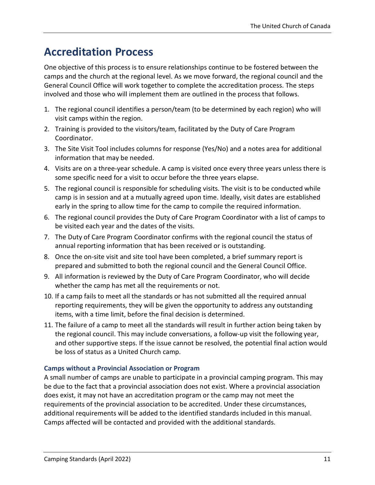## <span id="page-10-0"></span>**Accreditation Process**

One objective of this process is to ensure relationships continue to be fostered between the camps and the church at the regional level. As we move forward, the regional council and the General Council Office will work together to complete the accreditation process. The steps involved and those who will implement them are outlined in the process that follows.

- 1. The regional council identifies a person/team (to be determined by each region) who will visit camps within the region.
- 2. Training is provided to the visitors/team, facilitated by the Duty of Care Program Coordinator.
- 3. The Site Visit Tool includes columns for response (Yes/No) and a notes area for additional information that may be needed.
- 4. Visits are on a three-year schedule. A camp is visited once every three years unless there is some specific need for a visit to occur before the three years elapse.
- 5. The regional council is responsible for scheduling visits. The visit is to be conducted while camp is in session and at a mutually agreed upon time. Ideally, visit dates are established early in the spring to allow time for the camp to compile the required information.
- 6. The regional council provides the Duty of Care Program Coordinator with a list of camps to be visited each year and the dates of the visits.
- 7. The Duty of Care Program Coordinator confirms with the regional council the status of annual reporting information that has been received or is outstanding.
- 8. Once the on-site visit and site tool have been completed, a brief summary report is prepared and submitted to both the regional council and the General Council Office.
- 9. All information is reviewed by the Duty of Care Program Coordinator, who will decide whether the camp has met all the requirements or not.
- 10. If a camp fails to meet all the standards or has not submitted all the required annual reporting requirements, they will be given the opportunity to address any outstanding items, with a time limit, before the final decision is determined.
- 11. The failure of a camp to meet all the standards will result in further action being taken by the regional council. This may include conversations, a follow-up visit the following year, and other supportive steps. If the issue cannot be resolved, the potential final action would be loss of status as a United Church camp.

#### **Camps without a Provincial Association or Program**

A small number of camps are unable to participate in a provincial camping program. This may be due to the fact that a provincial association does not exist. Where a provincial association does exist, it may not have an accreditation program or the camp may not meet the requirements of the provincial association to be accredited. Under these circumstances, additional requirements will be added to the identified standards included in this manual. Camps affected will be contacted and provided with the additional standards.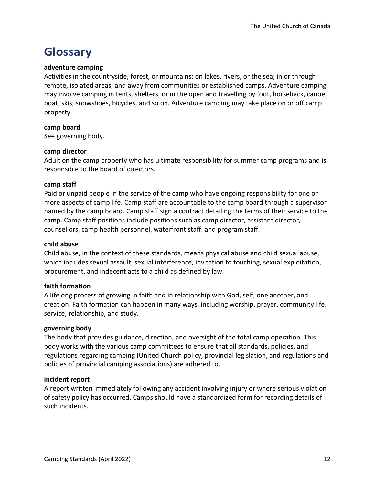# <span id="page-11-0"></span>**Glossary**

#### **adventure camping**

Activities in the countryside, forest, or mountains; on lakes, rivers, or the sea; in or through remote, isolated areas; and away from communities or established camps. Adventure camping may involve camping in tents, shelters, or in the open and travelling by foot, horseback, canoe, boat, skis, snowshoes, bicycles, and so on. Adventure camping may take place on or off camp property.

#### **camp board**

See governing body.

#### **camp director**

Adult on the camp property who has ultimate responsibility for summer camp programs and is responsible to the board of directors.

#### **camp staff**

Paid or unpaid people in the service of the camp who have ongoing responsibility for one or more aspects of camp life. Camp staff are accountable to the camp board through a supervisor named by the camp board. Camp staff sign a contract detailing the terms of their service to the camp. Camp staff positions include positions such as camp director, assistant director, counsellors, camp health personnel, waterfront staff, and program staff.

#### **child abuse**

Child abuse, in the context of these standards, means physical abuse and child sexual abuse, which includes sexual assault, sexual interference, invitation to touching, sexual exploitation, procurement, and indecent acts to a child as defined by law.

#### **faith formation**

A lifelong process of growing in faith and in relationship with God, self, one another, and creation. Faith formation can happen in many ways, including worship, prayer, community life, service, relationship, and study.

#### **governing body**

The body that provides guidance, direction, and oversight of the total camp operation. This body works with the various camp committees to ensure that all standards, policies, and regulations regarding camping (United Church policy, provincial legislation, and regulations and policies of provincial camping associations) are adhered to.

#### **incident report**

A report written immediately following any accident involving injury or where serious violation of safety policy has occurred. Camps should have a standardized form for recording details of such incidents.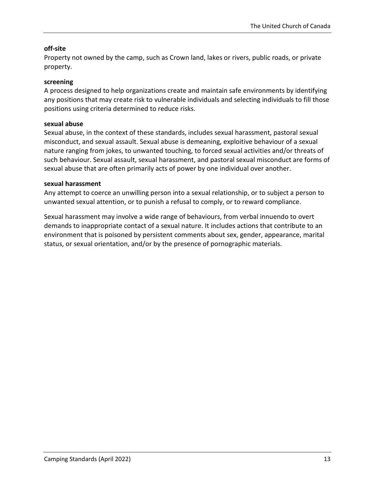#### **off-site**

Property not owned by the camp, such as Crown land, lakes or rivers, public roads, or private property.

#### **screening**

A process designed to help organizations create and maintain safe environments by identifying any positions that may create risk to vulnerable individuals and selecting individuals to fill those positions using criteria determined to reduce risks.

#### **sexual abuse**

Sexual abuse, in the context of these standards, includes sexual harassment, pastoral sexual misconduct, and sexual assault. Sexual abuse is demeaning, exploitive behaviour of a sexual nature ranging from jokes, to unwanted touching, to forced sexual activities and/or threats of such behaviour. Sexual assault, sexual harassment, and pastoral sexual misconduct are forms of sexual abuse that are often primarily acts of power by one individual over another.

#### **sexual harassment**

Any attempt to coerce an unwilling person into a sexual relationship, or to subject a person to unwanted sexual attention, or to punish a refusal to comply, or to reward compliance.

Sexual harassment may involve a wide range of behaviours, from verbal innuendo to overt demands to inappropriate contact of a sexual nature. It includes actions that contribute to an environment that is poisoned by persistent comments about sex, gender, appearance, marital status, or sexual orientation, and/or by the presence of pornographic materials.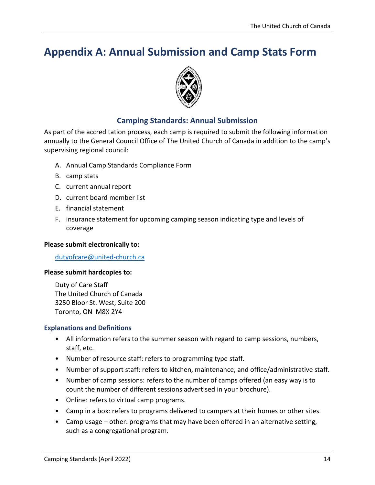# <span id="page-13-0"></span>**Appendix A: Annual Submission and Camp Stats Form**



### **Camping Standards: Annual Submission**

As part of the accreditation process, each camp is required to submit the following information annually to the General Council Office of The United Church of Canada in addition to the camp's supervising regional council:

- A. Annual Camp Standards Compliance Form
- B. camp stats
- C. current annual report
- D. current board member list
- E. financial statement
- F. insurance statement for upcoming camping season indicating type and levels of coverage

#### **Please submit electronically to:**

dutyofcare@united-church.ca

#### **Please submit hardcopies to:**

Duty of Care Staff The United Church of Canada 3250 Bloor St. West, Suite 200 Toronto, ON M8X 2Y4

#### **Explanations and Definitions**

- All information refers to the summer season with regard to camp sessions, numbers, staff, etc.
- Number of resource staff: refers to programming type staff.
- Number of support staff: refers to kitchen, maintenance, and office/administrative staff.
- Number of camp sessions: refers to the number of camps offered (an easy way is to count the number of different sessions advertised in your brochure).
- Online: refers to virtual camp programs.
- Camp in a box: refers to programs delivered to campers at their homes or other sites.
- Camp usage other: programs that may have been offered in an alternative setting, such as a congregational program.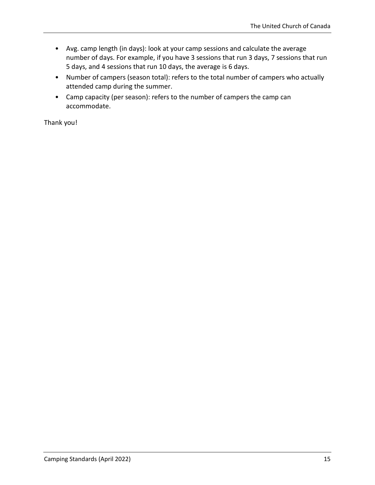- Avg. camp length (in days): look at your camp sessions and calculate the average number of days. For example, if you have 3 sessions that run 3 days, 7 sessions that run 5 days, and 4 sessions that run 10 days, the average is 6 days.
- Number of campers (season total): refers to the total number of campers who actually attended camp during the summer.
- Camp capacity (per season): refers to the number of campers the camp can accommodate.

Thank you!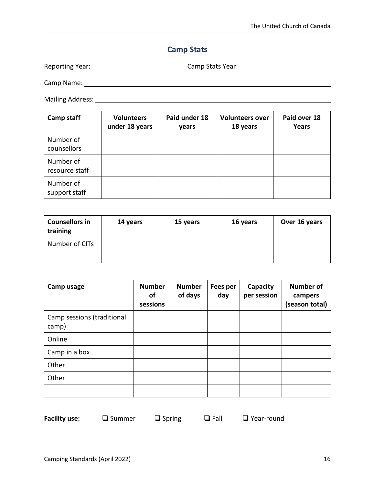### **Camp Stats**

Reporting Year: Camp Stats Year:

Camp Name:

Mailing Address:

| <b>Camp staff</b>           | <b>Volunteers</b><br>under 18 years | Paid under 18<br>years | <b>Volunteers over</b><br>18 years | Paid over 18<br>Years |
|-----------------------------|-------------------------------------|------------------------|------------------------------------|-----------------------|
| Number of<br>counsellors    |                                     |                        |                                    |                       |
| Number of<br>resource staff |                                     |                        |                                    |                       |
| Number of<br>support staff  |                                     |                        |                                    |                       |

| <b>Counsellors in</b><br>training | 14 years | 15 years | 16 years | Over 16 years |
|-----------------------------------|----------|----------|----------|---------------|
| Number of CITs                    |          |          |          |               |
|                                   |          |          |          |               |

| Camp usage                          | <b>Number</b><br><b>of</b><br>sessions | <b>Number</b><br>of days | Fees per<br>day | Capacity<br>per session | <b>Number of</b><br>campers<br>(season total) |
|-------------------------------------|----------------------------------------|--------------------------|-----------------|-------------------------|-----------------------------------------------|
| Camp sessions (traditional<br>camp) |                                        |                          |                 |                         |                                               |
| Online                              |                                        |                          |                 |                         |                                               |
| Camp in a box                       |                                        |                          |                 |                         |                                               |
| Other                               |                                        |                          |                 |                         |                                               |
| Other                               |                                        |                          |                 |                         |                                               |
|                                     |                                        |                          |                 |                         |                                               |

| <b>Facility use:</b> |  |
|----------------------|--|
|----------------------|--|

□ Summer □ Spring □ Fall □ Year-round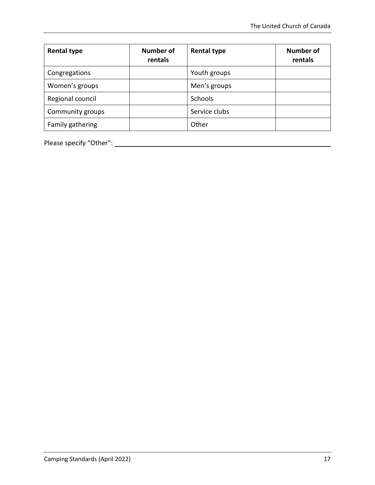| <b>Rental type</b> | <b>Number of</b><br>rentals | <b>Rental type</b> | <b>Number of</b><br>rentals |
|--------------------|-----------------------------|--------------------|-----------------------------|
| Congregations      |                             | Youth groups       |                             |
| Women's groups     |                             | Men's groups       |                             |
| Regional council   |                             | <b>Schools</b>     |                             |
| Community groups   |                             | Service clubs      |                             |
| Family gathering   |                             | Other              |                             |

Please specify "Other":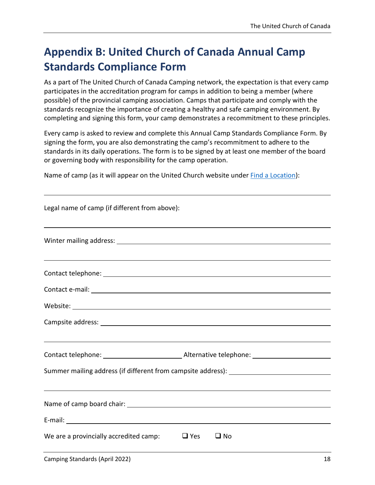# <span id="page-17-0"></span>**Appendix B: United Church of Canada Annual Camp Standards Compliance Form**

As a part of The United Church of Canada Camping network, the expectation is that every camp participates in the accreditation program for camps in addition to being a member (where possible) of the provincial camping association. Camps that participate and comply with the standards recognize the importance of creating a healthy and safe camping environment. By completing and signing this form, your camp demonstrates a recommitment to these principles.

Every camp is asked to review and complete this Annual Camp Standards Compliance Form. By signing the form, you are also demonstrating the camp's recommitment to adhere to the standards in its daily operations. The form is to be signed by at least one member of the board or governing body with responsibility for the camp operation.

Name of camp (as it will appear on the United Church website under [Find a Location\)](https://united-church.ca/search/locator/all?search_term=&ministry_type=01377424-44ef-e811-a974-000d3af42a5a):

| Legal name of camp (if different from above):                                    |
|----------------------------------------------------------------------------------|
| ,我们也不会有什么。""我们的人,我们也不会有什么?""我们的人,我们也不会有什么?""我们的人,我们也不会有什么?""我们的人,我们也不会有什么?""我们的人 |
| ,我们也不会有什么?""我们的人,我们也不会有什么?""我们的人,我们也不会有什么?""我们的人,我们也不会有什么?""我们的人,我们也不会有什么?""我们的人 |
|                                                                                  |
|                                                                                  |
|                                                                                  |
|                                                                                  |
| ,我们也不会有什么。""我们的人,我们也不会有什么?""我们的人,我们也不会有什么?""我们的人,我们也不会有什么?""我们的人,我们也不会有什么?""我们的人 |
|                                                                                  |
| Summer mailing address (if different from campsite address): ___________________ |
| ,我们也不会有什么。""我们的人,我们也不会有什么?""我们的人,我们也不会有什么?""我们的人,我们也不会有什么?""我们的人,我们也不会有什么?""我们的人 |
|                                                                                  |
|                                                                                  |
| We are a provincially accredited camp:<br>$\Box$ Yes<br>$\sqcup$ No              |
|                                                                                  |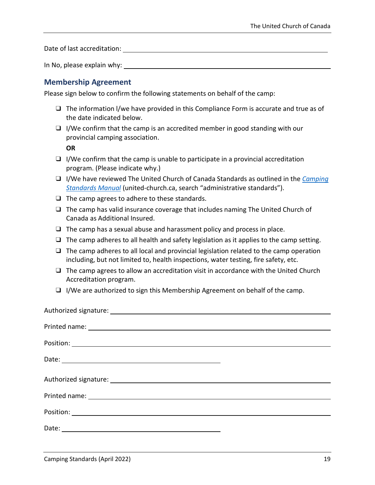Date of last accreditation: The state of last accreditation:

In No, please explain why:

#### **Membership Agreement**

Please sign below to confirm the following statements on behalf of the camp:

- ❑ The information l/we have provided in this Compliance Form is accurate and true as of the date indicated below.
- ❑ I/We confirm that the camp is an accredited member in good standing with our provincial camping association.

**OR**

- $\Box$  I/We confirm that the camp is unable to participate in a provincial accreditation program. (Please indicate why.)
- ❑ I/We have reviewed The United Church of Canada Standards as outlined in the *[Camping](https://united-church.ca/leadership/church-administration/duty-care/administrative-standards)  [Standards Manual](https://united-church.ca/leadership/church-administration/duty-care/administrative-standards)* (united-church.ca, search "administrative standards").
- ❑ The camp agrees to adhere to these standards.
- ❑ The camp has valid insurance coverage that includes naming The United Church of Canada as Additional Insured.
- $\Box$  The camp has a sexual abuse and harassment policy and process in place.
- $\Box$  The camp adheres to all health and safety legislation as it applies to the camp setting.
- $\Box$  The camp adheres to all local and provincial legislation related to the camp operation including, but not limited to, health inspections, water testing, fire safety, etc.
- ❑ The camp agrees to allow an accreditation visit in accordance with the United Church Accreditation program.
- ❑ I/We are authorized to sign this Membership Agreement on behalf of the camp.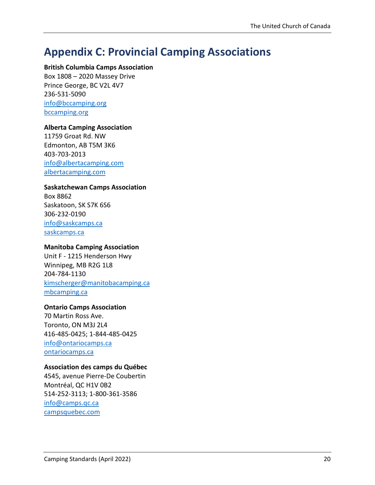# <span id="page-19-0"></span>**Appendix C: Provincial Camping Associations**

#### **British Columbia Camps Association**

Box 1808 – 2020 Massey Drive Prince George, BC V2L 4V7 236-531-5090 [info@bccamping.org](mailto:info@bccamping.org) [bccamping.org](http://www.bccamping.org/)

#### **Alberta Camping Association**

11759 Groat Rd. NW Edmonton, AB T5M 3K6 403-703-2013 [info@albertacamping.com](mailto:info@albertacamping.com) [albertacamping.com](http://www.albertacamping.com/)

#### **Saskatchewan Camps Association**

Box 8862 Saskatoon, SK S7K 6S6 306-232-0190 [info@saskcamps.ca](mailto:info@saskcamps.ca) [saskcamps.ca](http://www.saskcamps.ca/)

#### **Manitoba Camping Association**

Unit F - 1215 Henderson Hwy Winnipeg, MB R2G 1L8 204-784-1130 [kimscherger@manitobacamping.ca](mailto:kimscherger@manitobacamping.cax) [mbcamping.ca](http://www.mbcamping.ca/)

#### **Ontario Camps Association**

70 Martin Ross Ave. Toronto, ON M3J 2L4 416-485-0425; 1-844-485-0425 [info@ontariocamps.ca](mailto:info@ontariocamps.ca) [ontariocamps.ca](http://www.ontariocamps.ca/)

#### **Association des camps du Québec**

4545, avenue Pierre-De Coubertin Montréal, QC H1V 0B2 514-252-3113; 1-800-361-3586 [info@camps.qc.ca](mailto:info@camps.qc.ca) [campsquebec.com](http://www.campsquebec.com/)